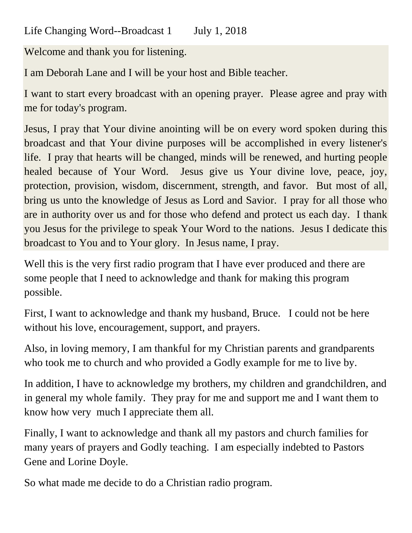Life Changing Word--Broadcast 1 July 1, 2018

Welcome and thank you for listening.

I am Deborah Lane and I will be your host and Bible teacher.

I want to start every broadcast with an opening prayer. Please agree and pray with me for today's program.

Jesus, I pray that Your divine anointing will be on every word spoken during this broadcast and that Your divine purposes will be accomplished in every listener's life. I pray that hearts will be changed, minds will be renewed, and hurting people healed because of Your Word. Jesus give us Your divine love, peace, joy, protection, provision, wisdom, discernment, strength, and favor. But most of all, bring us unto the knowledge of Jesus as Lord and Savior. I pray for all those who are in authority over us and for those who defend and protect us each day. I thank you Jesus for the privilege to speak Your Word to the nations. Jesus I dedicate this broadcast to You and to Your glory. In Jesus name, I pray.

Well this is the very first radio program that I have ever produced and there are some people that I need to acknowledge and thank for making this program possible.

First, I want to acknowledge and thank my husband, Bruce. I could not be here without his love, encouragement, support, and prayers.

Also, in loving memory, I am thankful for my Christian parents and grandparents who took me to church and who provided a Godly example for me to live by.

In addition, I have to acknowledge my brothers, my children and grandchildren, and in general my whole family. They pray for me and support me and I want them to know how very much I appreciate them all.

Finally, I want to acknowledge and thank all my pastors and church families for many years of prayers and Godly teaching. I am especially indebted to Pastors Gene and Lorine Doyle.

So what made me decide to do a Christian radio program.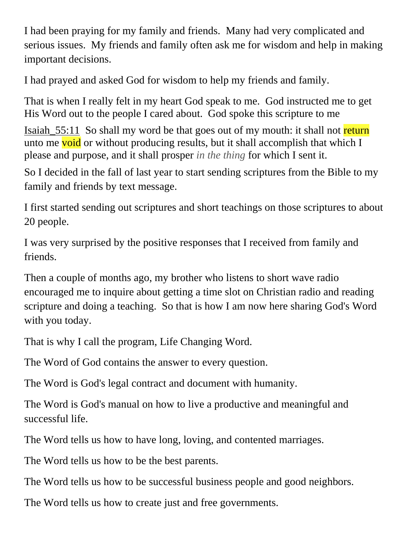I had been praying for my family and friends. Many had very complicated and serious issues. My friends and family often ask me for wisdom and help in making important decisions.

I had prayed and asked God for wisdom to help my friends and family.

That is when I really felt in my heart God speak to me. God instructed me to get His Word out to the people I cared about. God spoke this scripture to me

Isaiah 55:11 So shall my word be that goes out of my mouth: it shall not return unto me void or without producing results, but it shall accomplish that which  $I$ please and purpose, and it shall prosper *in the thing* for which I sent it.

So I decided in the fall of last year to start sending scriptures from the Bible to my family and friends by text message.

I first started sending out scriptures and short teachings on those scriptures to about 20 people.

I was very surprised by the positive responses that I received from family and friends.

Then a couple of months ago, my brother who listens to short wave radio encouraged me to inquire about getting a time slot on Christian radio and reading scripture and doing a teaching. So that is how I am now here sharing God's Word with you today.

That is why I call the program, Life Changing Word.

The Word of God contains the answer to every question.

The Word is God's legal contract and document with humanity.

The Word is God's manual on how to live a productive and meaningful and successful life.

The Word tells us how to have long, loving, and contented marriages.

The Word tells us how to be the best parents.

The Word tells us how to be successful business people and good neighbors.

The Word tells us how to create just and free governments.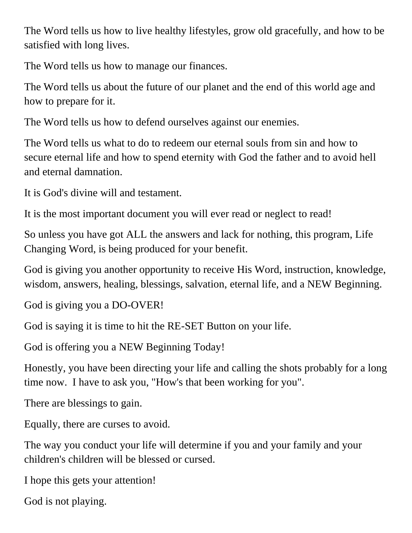The Word tells us how to live healthy lifestyles, grow old gracefully, and how to be satisfied with long lives.

The Word tells us how to manage our finances.

The Word tells us about the future of our planet and the end of this world age and how to prepare for it.

The Word tells us how to defend ourselves against our enemies.

The Word tells us what to do to redeem our eternal souls from sin and how to secure eternal life and how to spend eternity with God the father and to avoid hell and eternal damnation.

It is God's divine will and testament.

It is the most important document you will ever read or neglect to read!

So unless you have got ALL the answers and lack for nothing, this program, Life Changing Word, is being produced for your benefit.

God is giving you another opportunity to receive His Word, instruction, knowledge, wisdom, answers, healing, blessings, salvation, eternal life, and a NEW Beginning.

God is giving you a DO-OVER!

God is saying it is time to hit the RE-SET Button on your life.

God is offering you a NEW Beginning Today!

Honestly, you have been directing your life and calling the shots probably for a long time now. I have to ask you, "How's that been working for you".

There are blessings to gain.

Equally, there are curses to avoid.

The way you conduct your life will determine if you and your family and your children's children will be blessed or cursed.

I hope this gets your attention!

God is not playing.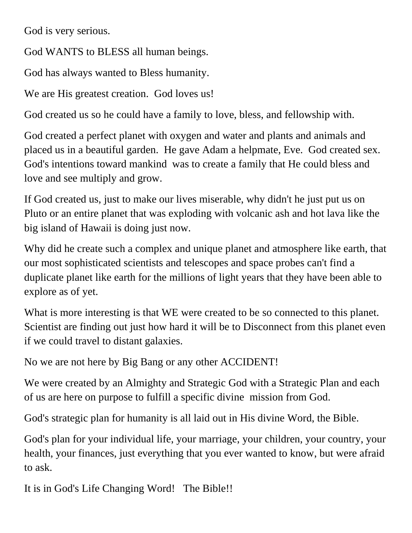God is very serious.

God WANTS to BLESS all human beings.

God has always wanted to Bless humanity.

We are His greatest creation. God loves us!

God created us so he could have a family to love, bless, and fellowship with.

God created a perfect planet with oxygen and water and plants and animals and placed us in a beautiful garden. He gave Adam a helpmate, Eve. God created sex. God's intentions toward mankind was to create a family that He could bless and love and see multiply and grow.

If God created us, just to make our lives miserable, why didn't he just put us on Pluto or an entire planet that was exploding with volcanic ash and hot lava like the big island of Hawaii is doing just now.

Why did he create such a complex and unique planet and atmosphere like earth, that our most sophisticated scientists and telescopes and space probes can't find a duplicate planet like earth for the millions of light years that they have been able to explore as of yet.

What is more interesting is that WE were created to be so connected to this planet. Scientist are finding out just how hard it will be to Disconnect from this planet even if we could travel to distant galaxies.

No we are not here by Big Bang or any other ACCIDENT!

We were created by an Almighty and Strategic God with a Strategic Plan and each of us are here on purpose to fulfill a specific divine mission from God.

God's strategic plan for humanity is all laid out in His divine Word, the Bible.

God's plan for your individual life, your marriage, your children, your country, your health, your finances, just everything that you ever wanted to know, but were afraid to ask.

It is in God's Life Changing Word! The Bible!!